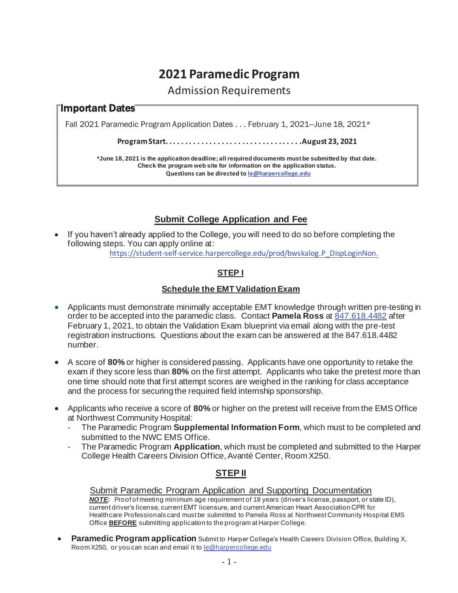# **2021 Paramedic Program**

Admission Requirements

## Important Dates

Fall 2021 Paramedic Program Application Dates  $\dots$  February 1, 2021--June 18, 2021 $^{\star}$ 

**Program Start. . . . . . . . . . . . . . . . . . . . . . . . . . . . . . . . . .August 23, 2021** 

**\*June 18, 2021 is the application deadline; all required documents must be submitted by that date. Check the program web site for information on the application status. Questions can be directed to le@harpercollege.edu**

## **Submit College Application and Fee**

If you haven't already applied to the College, you will need to do so before completing the following steps. You can apply online at:

https://student-self-service.harpercollege.edu/prod/bwskalog.P\_DispLoginNon.

### **STEP I**

#### **Schedule the EMT Validation Exam**

- Applicants must demonstrate minimally acceptable EMT knowledge through written pre-testing in order to be accepted into the paramedic class. Contact **Pamela Ross** at 847.618.4482 after February 1, 2021, to obtain the Validation Exam blueprint via email along with the pre-test registration instructions. Questions about the exam can be answered at the 847.618.4482 number.
- **A score of 80% or higher is considered passing. Applicants have one opportunity to retake the** exam if they score less than **80%** on the first attempt. Applicants who take the pretest more than one time should note that first attempt scores are weighed in the ranking for class acceptance and the process for securing the required field internship sponsorship.
- x Applicants who receive a score of **80%** or higher on the pretest will receive from the EMS Office at Northwest Community Hospital:
	- The Paramedic Program **Supplemental Information Form**, which must to be completed and submitted to the NWC EMS Office.
	- The Paramedic Program **Application**, which must be completed and submitted to the Harper College Health Careers Division Office, Avanté Center, Room X250.

## **STEP II**

#### Submit Paramedic Program Application and Supporting Documentation

*NOTE:* Proof of meeting minimum age requirement of 18 years (driver's license, passport, or state ID), current driver's license, current EMT licensure, and current American Heart Association CPR for Healthcare Professionals card must be submitted to Pamela Ross at Northwest Community Hospital EMS Office **BEFORE** submitting application to the program at Harper College.

**Paramedic Program application** Submit to Harper College's Health Careers Division Office, Building X, Room X250, or you can scan and email it to le@harpercollege.edu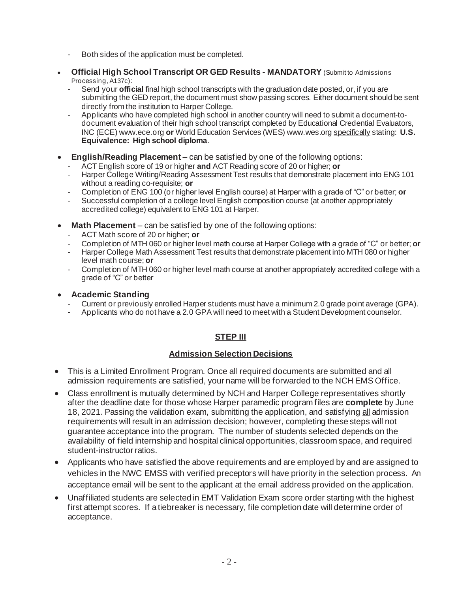- Both sides of the application must be completed.
- **Official High School Transcript OR GED Results MANDATORY** (Submitto Admissions Processing, A137c):
	- Send your **official** final high school transcripts with the graduation date posted, or, if you are submitting the GED report, the document must show passing scores. Either document should be sent directly from the institution to Harper College.
	- Applicants who have completed high school in another country will need to submit a document-todocument evaluation of their high school transcript completed by Educational Credential Evaluators, INC (ECE) www.ece.org **or** World Education Services (WES) www.wes.org specifically stating: **U.S. Equivalence: High school diploma**.
- **English/Reading Placement** can be satisfied by one of the following options:
	- ACT English score of 19 or higher **and** ACT Reading score of 20 or higher; **or**
	- Harper College Writing/Reading Assessment Test results that demonstrate placement into ENG 101 without a reading co-requisite; **or**
	- Completion of ENG 100 (or higher level English course) at Harper with a grade of "C" or better; **or**
	- Successful completion of a college level English composition course (at another appropriately accredited college) equivalent to ENG 101 at Harper.
- Math Placement can be satisfied by one of the following options:
	- ACT Math score of 20 or higher; **or**
	- Completion of MTH 060 or higher level math course at Harper College with a grade of "C" or better; **or**
	- Harper College Math Assessment Test results that demonstrate placement into MTH 080 or higher level math course; **or**
	- Completion of MTH 060 or higher level math course at another appropriately accredited college with a grade of "C" or better

#### x **Academic Standing**

- Current or previously enrolled Harper students must have a minimum 2.0 grade point average (GPA).
- Applicants who do not have a 2.0 GPA will need to meet with a Student Development counselor.

#### **STEP III**

#### **Admission Selection Decisions**

- This is a Limited Enrollment Program. Once all required documents are submitted and all admission requirements are satisfied, your name will be forwarded to the NCH EMS Office.
- Class enrollment is mutually determined by NCH and Harper College representatives shortly after the deadline date for those whose Harper paramedic program files are **complete** by June 18, 2021. Passing the validation exam, submitting the application, and satisfying all admission requirements will result in an admission decision; however, completing these steps will not guarantee acceptance into the program. The number of students selected depends on the availability of field internship and hospital clinical opportunities, classroom space, and required student-instructor ratios.
- Applicants who have satisfied the above requirements and are employed by and are assigned to vehicles in the NWC EMSS with verified preceptors will have priority in the selection process. An acceptance email will be sent to the applicant at the email address provided on the application.
- Unaffiliated students are selected in EMT Validation Exam score order starting with the highest first attempt scores. If a tiebreaker is necessary, file completion date will determine order of acceptance.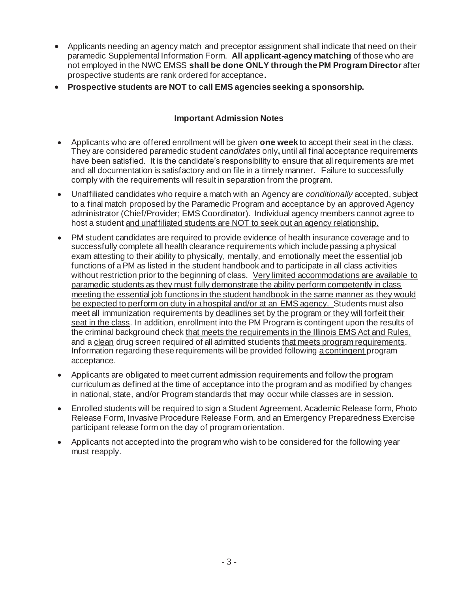- Applicants needing an agency match and preceptor assignment shall indicate that need on their paramedic Supplemental Information Form. **All applicant-agency matching** of those who are not employed in the NWC EMSS **shall be done ONLY through the PM Program Director** after prospective students are rank ordered for acceptance**.**
- **Prospective students are NOT to call EMS agencies seeking a sponsorship.**

#### **Important Admission Notes**

- x Applicants who are offered enrollment will be given **one week** to accept their seat in the class. They are considered paramedic student *candidates* only**,** until all final acceptance requirements have been satisfied. It is the candidate's responsibility to ensure that all requirements are met and all documentation is satisfactory and on file in a timely manner. Failure to successfully comply with the requirements will result in separation from the program.
- Unaffiliated candidates who require a match with an Agency are *conditionally* accepted, subject to a final match proposed by the Paramedic Program and acceptance by an approved Agency administrator (Chief/Provider; EMS Coordinator). Individual agency members cannot agree to host a student and unaffiliated students are NOT to seek out an agency relationship.
- PM student candidates are required to provide evidence of health insurance coverage and to successfully complete all health clearance requirements which include passing a physical exam attesting to their ability to physically, mentally, and emotionally meet the essential job functions of a PM as listed in the student handbook and to participate in all class activities without restriction prior to the beginning of class. Very limited accommodations are available to paramedic students as they must fully demonstrate the ability perform competently in class meeting the essential job functions in the student handbook in the same manner as they would be expected to perform on duty in a hospital and/or at an EMS agency. Students must also meet all immunization requirements by deadlines set by the program or they will forfeit their seat in the class. In addition, enrollment into the PM Program is contingent upon the results of the criminal background check that meets the requirements in the Illinois EMS Act and Rules, and a clean drug screen required of all admitted students that meets program requirements. Information regarding these requirements will be provided following a contingent program acceptance.
- Applicants are obligated to meet current admission requirements and follow the program curriculum as defined at the time of acceptance into the program and as modified by changes in national, state, and/or Program standards that may occur while classes are in session.
- Enrolled students will be required to sign a Student Agreement, Academic Release form, Photo Release Form, Invasive Procedure Release Form, and an Emergency Preparedness Exercise participant release form on the day of program orientation.
- Applicants not accepted into the program who wish to be considered for the following year must reapply.